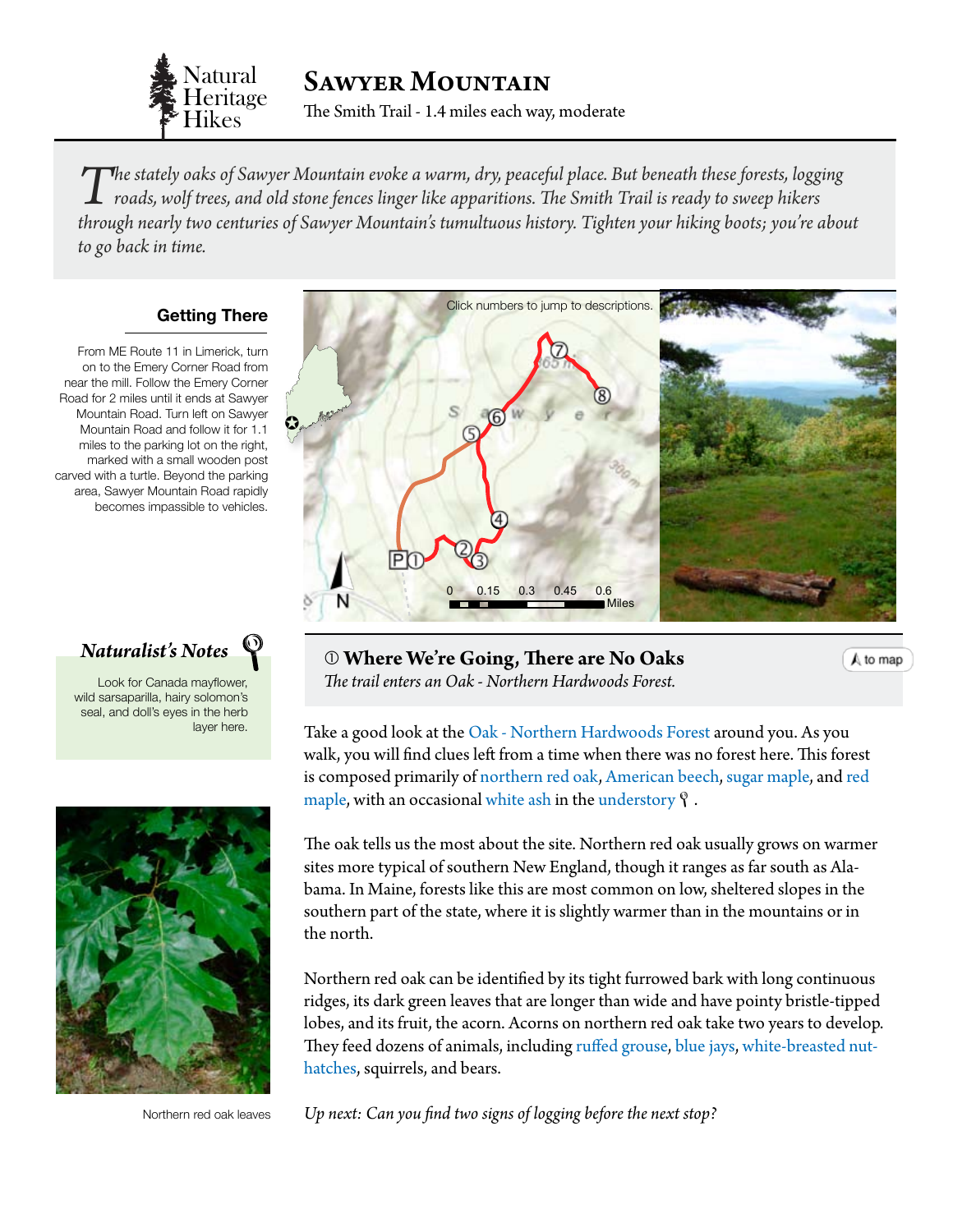

SAWYER MOUNTAIN

The Smith Trail - 1.4 miles each way, moderate

The stately oaks of Sawyer Mountain evoke a warm, dry, peaceful place. But beneath these forests, logging<br>roads, wolf trees, and old stone fences linger like apparitions. The Smith Trail is ready to sweep hikers<br>through ne *through nearly two centuries of Sawyer Mountain's tumultuous history. Tighten your hiking boots; you're about to go back in time.*

## **Getting There**

From ME Route 11 in Limerick, turn on to the Emery Corner Road from near the mill. Follow the Emery Corner Road for 2 miles until it ends at Sawyer Mountain Road. Turn left on Sawyer Mountain Road and follow it for 1.1 miles to the parking lot on the right, marked with a small wooden post carved with a turtle. Beyond the parking area, Sawyer Mountain Road rapidly becomes impassible to vehicles.

*Naturalist's Notes*

0 0.15 0.3 0.45 0.6 Look for Canada mayflower, wild sarsaparilla, hairy solomon's seal, and doll's eyes in the herb layer here.



Northern red oak leaves

<span id="page-0-0"></span>

 **Where We're Going, There are No Oaks** *The trail enters an Oak - Northern Hardwoods Forest.*

A to map

Take a good look at the [Oak - Northern Hardwoods Forest](http://www.maine.gov/dacf/mnap/features/communities/redoakhardwoodpineforest.htm) around you. As you walk, you will find clues left from a time when there was no forest here. This forest is composed primarily of [northern red oak,](http://dendro.cnre.vt.edu/dendrology/syllabus/factsheet.cfm?ID=38) [American beech](http://dendro.cnre.vt.edu/dendrology/syllabus/factsheet.cfm?ID=47), [sugar maple](http://dendro.cnre.vt.edu/dendrology/syllabus/factsheet.cfm?ID=2), and [red](http://dendro.cnre.vt.edu/dendrology/syllabus/factsheet.cfm?ID=1)  [maple,](http://dendro.cnre.vt.edu/dendrology/syllabus/factsheet.cfm?ID=1) with an occasional [white ash](http://dendro.cnre.vt.edu/dendrology/syllabus/factsheet.cfm?ID=46) in the [understory](#page-3-0)  $\mathcal{P}$ .

The oak tells us the most about the site. Northern red oak usually grows on warmer sites more typical of southern New England, though it ranges as far south as Alabama. In Maine, forests like this are most common on low, sheltered slopes in the southern part of the state, where it is slightly warmer than in the mountains or in the north.

Northern red oak can be identified by its tight furrowed bark with long continuous ridges, its dark green leaves that are longer than wide and have pointy bristle-tipped lobes, and its fruit, the acorn. Acorns on northern red oak take two years to develop. They feed dozens of animals, including [ruffed grouse](http://www.allaboutbirds.org/guide/Ruffed_Grouse/id), b[lue jays](http://www.allaboutbirds.org/guide/Blue_Jay/id), w[hite-breasted nut](http://www.allaboutbirds.org/guide/White-breasted_Nuthatch/id)[hatches](http://www.allaboutbirds.org/guide/White-breasted_Nuthatch/id), squirrels, and bears.

*Up next: Can you find two signs of logging before the next stop?*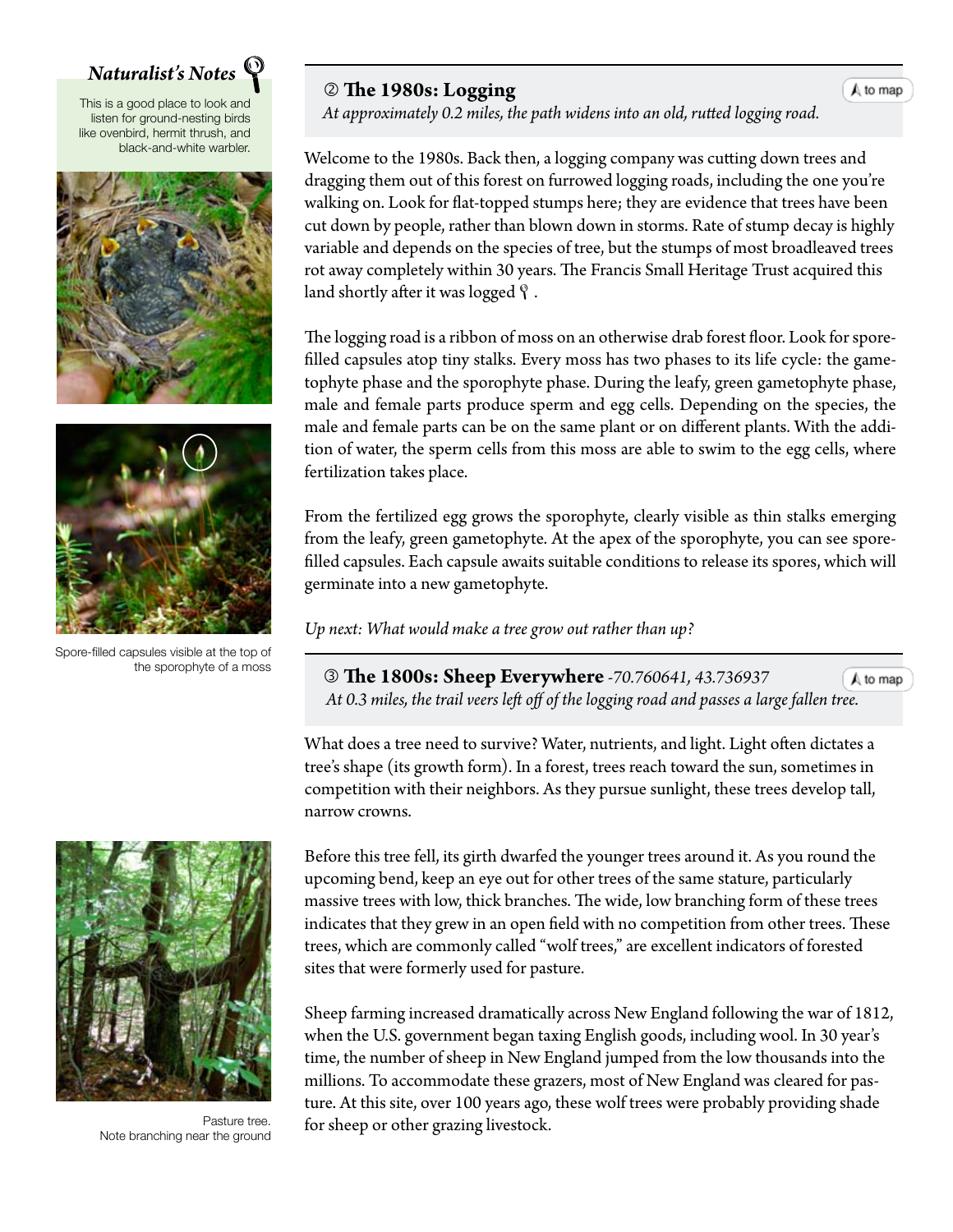## *Naturalist's Notes*

This is a good place to look and listen for ground-nesting birds like ovenbird, hermit thrush, and black-and-white warbler.





Spore-filled capsules visible at the top of the sporophyte of a moss

## **The 1980s: Logging**

 $\bigwedge$  to map

 *At approximately 0.2 miles, the path widens into an old, rutted logging roa[d.](#page-0-0)*

Welcome to the 1980s. Back then, a logging company was cutting down trees and dragging them out of this forest on furrowed logging roads, including the one you're walking on. Look for flat-topped stumps here; they are evidence that trees have been cut down by people, rather than blown down in storms. Rate of stump decay is highly variable and depends on the species of tree, but the stumps of most broadleaved trees rot away completely within 30 years. The Francis Small Heritage Trust acquired this land shortly after it was logged  $\ell$ .

The logging road is a ribbon of moss on an otherwise drab forest floor. Look for sporefilled capsules atop tiny stalks. Every moss has two phases to its life cycle: the gametophyte phase and the sporophyte phase. During the leafy, green gametophyte phase, male and female parts produce sperm and egg cells. Depending on the species, the male and female parts can be on the same plant or on different plants. With the addition of water, the sperm cells from this moss are able to swim to the egg cells, where fertilization takes place.

From the fertilized egg grows the sporophyte, clearly visible as thin stalks emerging from the leafy, green gametophyte. At the apex of the sporophyte, you can see sporefilled capsules. Each capsule awaits suitable conditions to release its spores, which will germinate into a new gametophyte.

*Up next: What would make a tree grow out rather than up?*

 **The 1800s: Sheep Everywhere** *-70.760641, 43.736937*  $A$  to map  *At 0.3 miles, the trail veers left off of the logging road and passes a large fall[en tree.](#page-0-0)*

What does a tree need to survive? Water, nutrients, and light. Light often dictates a tree's shape (its growth form). In a forest, trees reach toward the sun, sometimes in competition with their neighbors. As they pursue sunlight, these trees develop tall, narrow crowns.

Before this tree fell, its girth dwarfed the younger trees around it. As you round the upcoming bend, keep an eye out for other trees of the same stature, particularly massive trees with low, thick branches. The wide, low branching form of these trees indicates that they grew in an open field with no competition from other trees. These trees, which are commonly called "wolf trees," are excellent indicators of forested sites that were formerly used for pasture.

Sheep farming increased dramatically across New England following the war of 1812, when the U.S. government began taxing English goods, including wool. In 30 year's time, the number of sheep in New England jumped from the low thousands into the millions. To accommodate these grazers, most of New England was cleared for pasture. At this site, over 100 years ago, these wolf trees were probably providing shade for sheep or other grazing livestock.



Pasture tree. Note branching near the ground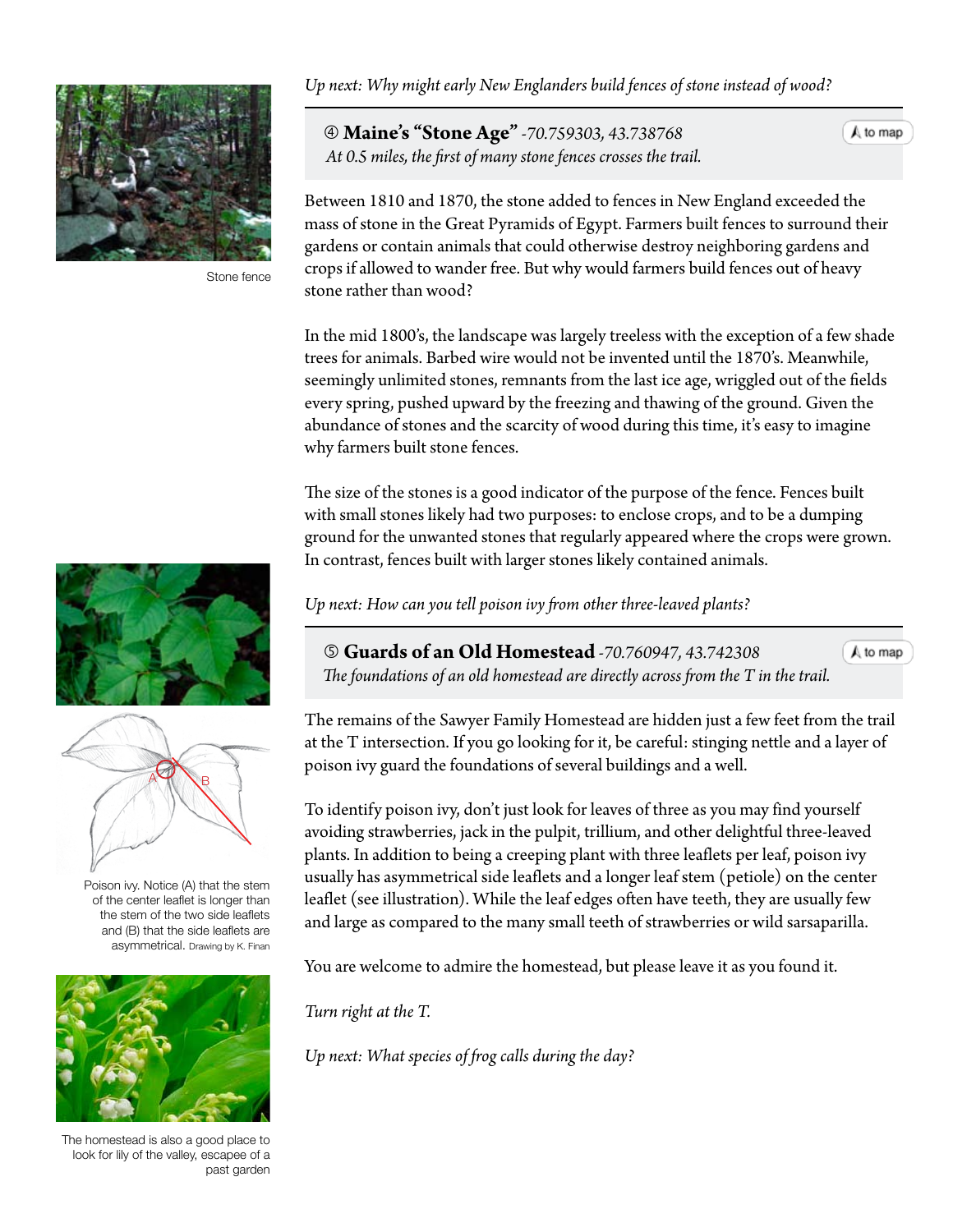

Stone fence

*Up next: Why might early New Englanders build fences of stone instead of wood?*

 **Maine's "Stone Age"** *-70.759303, 43.738768 At 0.5 miles, the first of many stone fences crosses the trail.*

 $A$  to map

Between 1810 and 1870, the stone added to fences in New England exceeded the mass of stone in the Great Pyramids of Egypt. Farmers built fences to surround their gardens or contain animals that could otherwise destroy neighboring gardens and crops if allowed to wander free. But why would farmers build fences out of heavy stone rather than wood?

In the mid 1800's, the landscape was largely treeless with the exception of a few shade trees for animals. Barbed wire would not be invented until the 1870's. Meanwhile, seemingly unlimited stones, remnants from the last ice age, wriggled out of the fields every spring, pushed upward by the freezing and thawing of the ground. Given the abundance of stones and the scarcity of wood during this time, it's easy to imagine why farmers built stone fences.

The size of the stones is a good indicator of the purpose of the fence. Fences built with small stones likely had two purposes: to enclose crops, and to be a dumping ground for the unwanted stones that regularly appeared where the crops were grown. In contrast, fences built with larger stones likely contained animals.

*Up next: How can you tell poison ivy from other three-leaved plants?*

**Guards of an Old Homestead** *-70.760947, 43.742308*

 $\bigwedge$  to map



Poison ivy. Notice (A) that the stem of the center leaflet is longer than the stem of the two side leaflets and (B) that the side leaflets are asymmetrical. Drawing by K. Finan



The homestead is also a good place to look for lily of the valley, escapee of a past garden

 *The foundations of an old homestead are directly across from the T in the tr[ail.](#page-0-0)*

The remains of the Sawyer Family Homestead are hidden just a few feet from the trail at the T intersection. If you go looking for it, be careful: stinging nettle and a layer of poison ivy guard the foundations of several buildings and a well.

To identify poison ivy, don't just look for leaves of three as you may find yourself avoiding strawberries, jack in the pulpit, trillium, and other delightful three-leaved plants. In addition to being a creeping plant with three leaflets per leaf, poison ivy usually has asymmetrical side leaflets and a longer leaf stem (petiole) on the center leaflet (see illustration). While the leaf edges often have teeth, they are usually few and large as compared to the many small teeth of strawberries or wild sarsaparilla.

You are welcome to admire the homestead, but please leave it as you found it.

*Turn right at the T.*

*Up next: What species of frog calls during the day?*